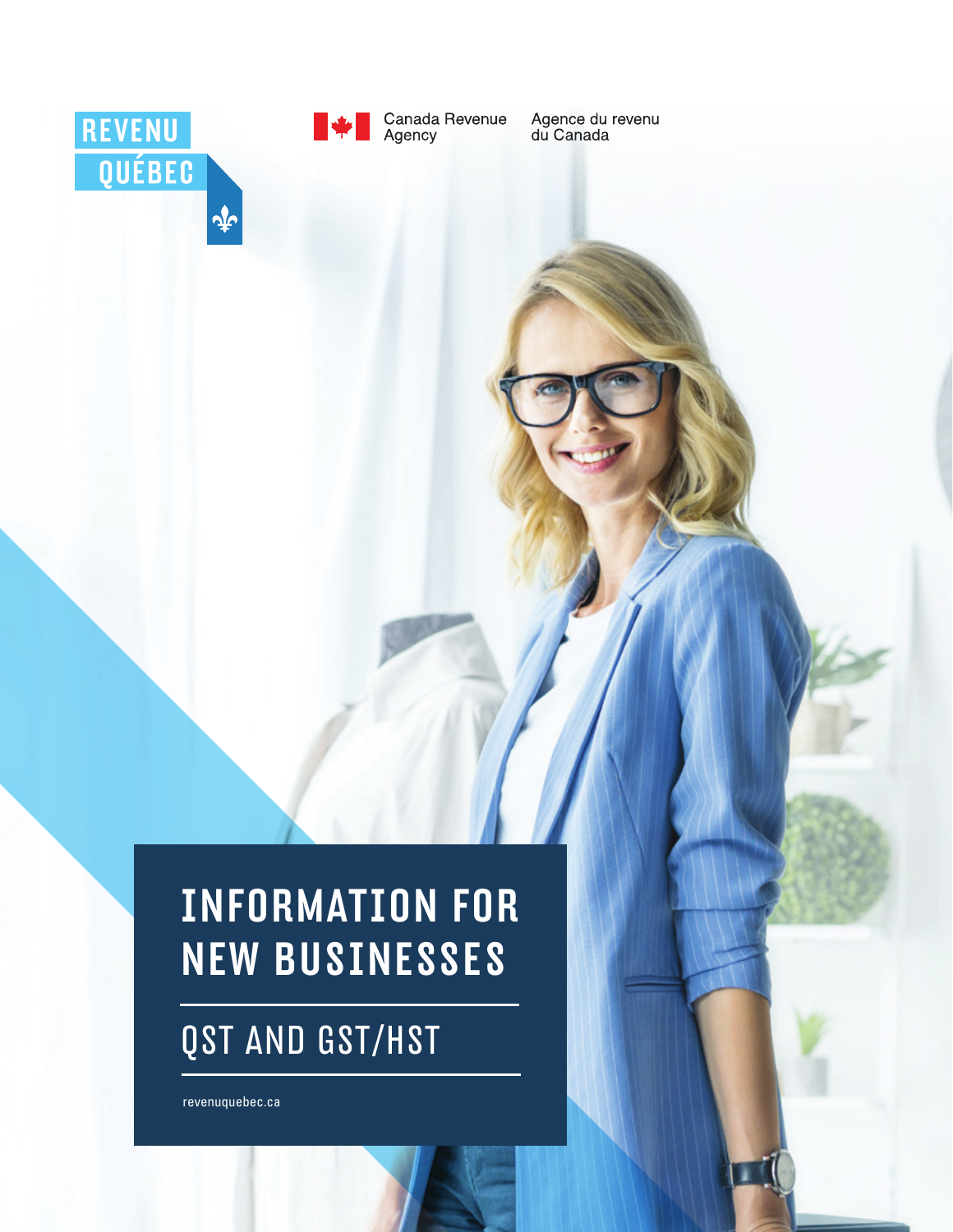



Agence du revenu<br>du Canada

# INFORMATION FOR NEW BUSINESSES

## QST AND GST/HST

 [revenuquebec.ca](http://www.revenuquebec.ca)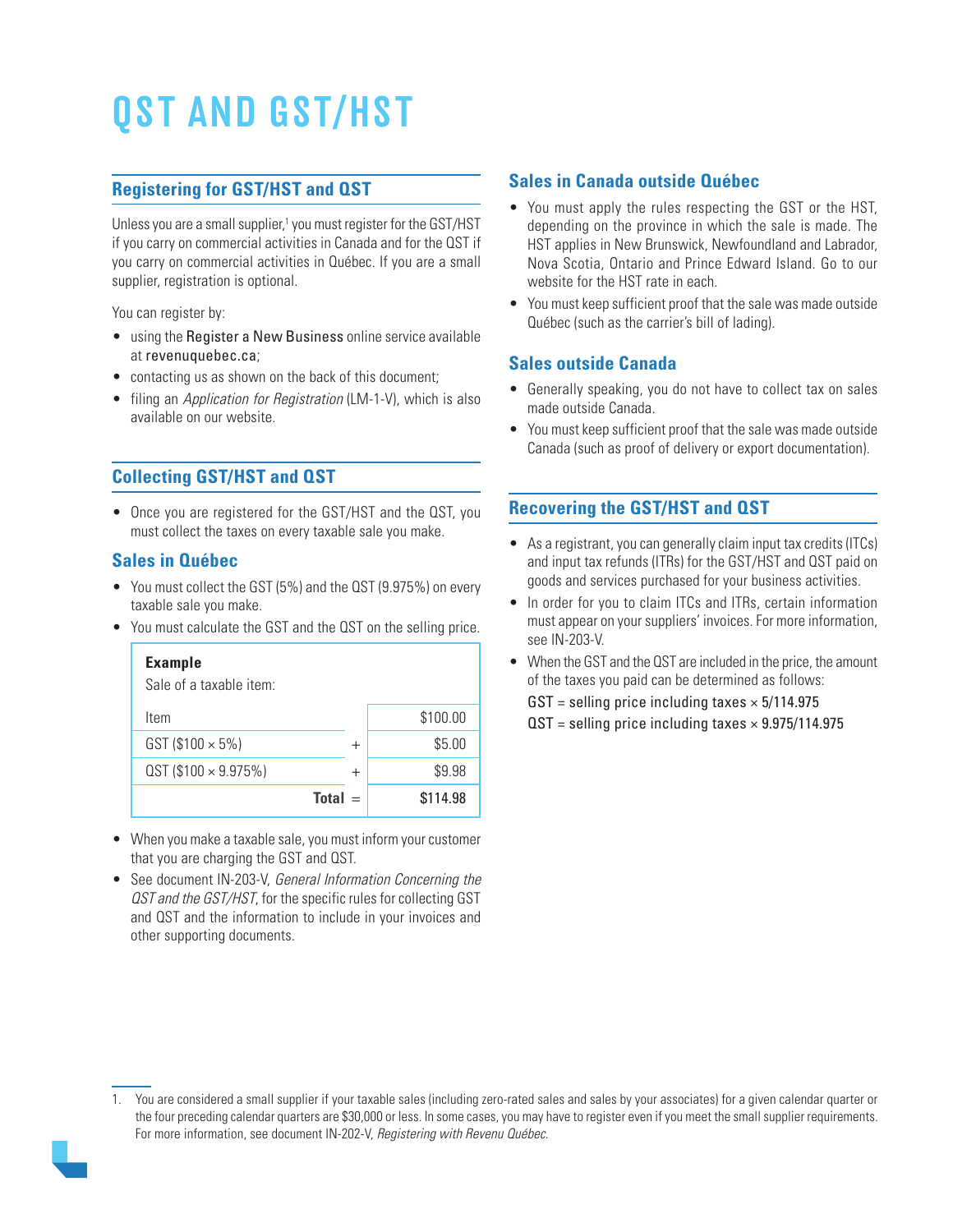# QST AND GST/HST

#### **Registering for GST/HST and QST**

Unless you are a small supplier,<sup>1</sup> you must register for the GST/HST if you carry on commercial activities in Canada and for the QST if you carry on commercial activities in Québec. If you are a small supplier, registration is optional.

You can register by:

- using the Register a New Business online service available at [revenuquebec.ca](http://www.revenuquebec.ca/en/);
- contacting us as shown on the back of this document;
- filing an *Application for Registration* (LM-1-V), which is also available on our website.

#### **Collecting GST/HST and QST**

• Once you are registered for the GST/HST and the QST, you must collect the taxes on every taxable sale you make.

#### **Sales in Québec**

- You must collect the GST (5%) and the QST (9.975%) on every taxable sale you make.
- You must calculate the GST and the QST on the selling price.

| <b>Example</b><br>Sale of a taxable item: |           |          |
|-------------------------------------------|-----------|----------|
| Item                                      |           | \$100.00 |
| $GST (1100 \times 5%)$                    | $\pm$     | \$5.00   |
| $QST$ (\$100 $\times$ 9.975%)             | $\pm$     | \$9.98   |
|                                           | $Total =$ | \$114.98 |

- When you make a taxable sale, you must inform your customer that you are charging the GST and QST.
- See document IN-203-V, General Information Concerning the QST and the GST/HST, for the specific rules for collecting GST and QST and the information to include in your invoices and other supporting documents.

#### **Sales in Canada outside Québec**

- You must apply the rules respecting the GST or the HST, depending on the province in which the sale is made. The HST applies in New Brunswick, Newfoundland and Labrador, Nova Scotia, Ontario and Prince Edward Island. Go to our website for the HST rate in each.
- You must keep sufficient proof that the sale was made outside Québec (such as the carrier's bill of lading).

#### **Sales outside Canada**

- Generally speaking, you do not have to collect tax on sales made outside Canada.
- You must keep sufficient proof that the sale was made outside Canada (such as proof of delivery or export documentation).

#### **Recovering the GST/HST and QST**

- As a registrant, you can generally claim input tax credits (ITCs) and input tax refunds (ITRs) for the GST/HST and QST paid on goods and services purchased for your business activities.
- In order for you to claim ITCs and ITRs, certain information must appear on your suppliers' invoices. For more information, see IN-203-V.
- When the GST and the QST are included in the price, the amount of the taxes you paid can be determined as follows:

 $GST =$  selling price including taxes  $\times$  5/114.975

 $\text{QST}$  = selling price including taxes  $\times$  9.975/114.975

<sup>1.</sup> You are considered a small supplier if your taxable sales (including zero-rated sales and sales by your associates) for a given calendar quarter or the four preceding calendar quarters are \$30,000 or less. In some cases, you may have to register even if you meet the small supplier requirements. For more information, see document IN-202-V, Registering with Revenu Québec.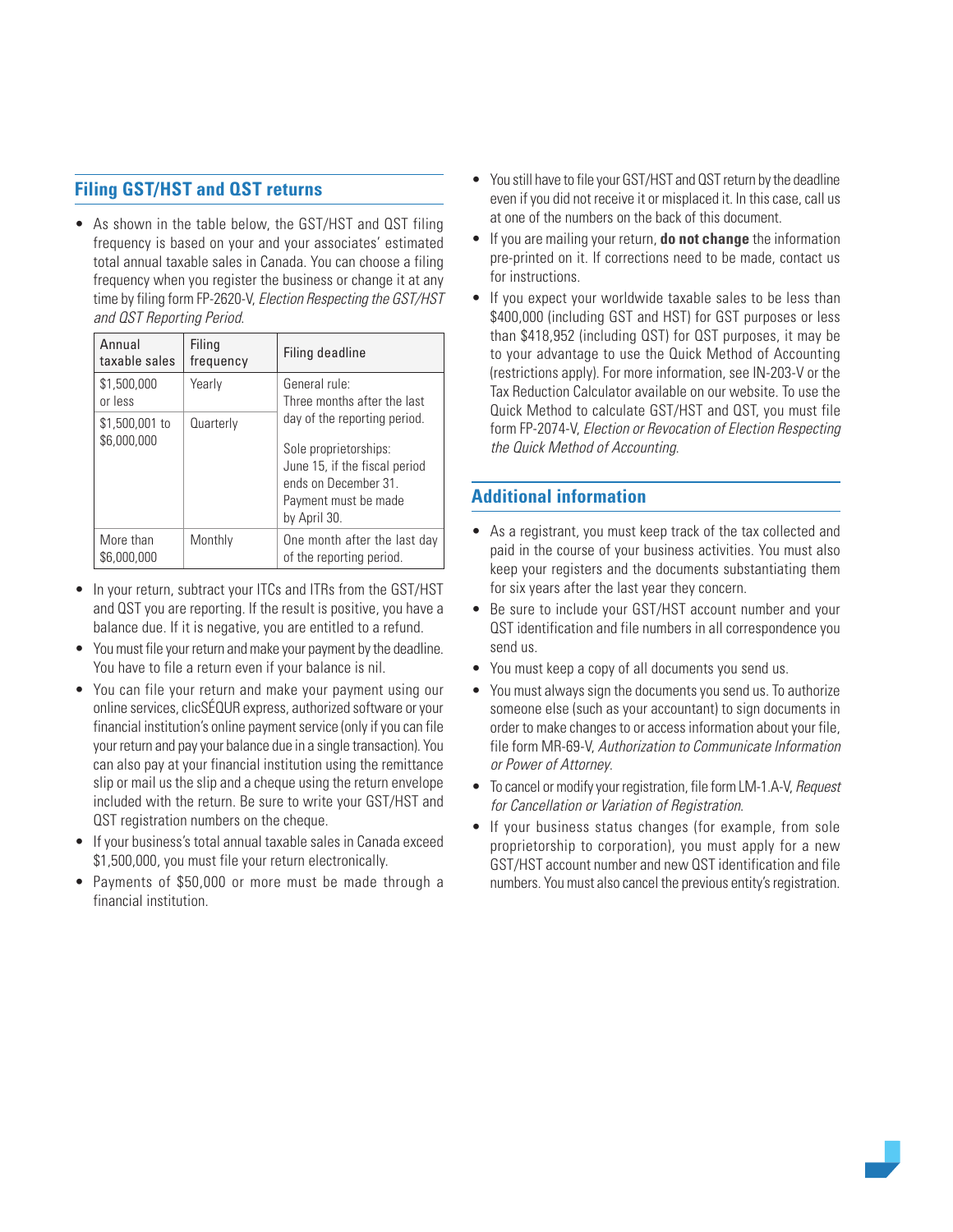#### **Filing GST/HST and QST returns**

• As shown in the table below, the GST/HST and QST filing frequency is based on your and your associates' estimated total annual taxable sales in Canada. You can choose a filing frequency when you register the business or change it at any time by filing form FP-2620-V, Election Respecting the GST/HST and QST Reporting Period.

| Annual<br>taxable sales       | Filing<br>frequency | Filing deadline                                                                                                                                                                                       |  |
|-------------------------------|---------------------|-------------------------------------------------------------------------------------------------------------------------------------------------------------------------------------------------------|--|
| \$1,500,000<br>or less        | Yearly              | General rule:<br>Three months after the last<br>day of the reporting period.<br>Sole proprietorships:<br>June 15, if the fiscal period<br>ends on December 31<br>Payment must be made<br>by April 30. |  |
| \$1,500,001 to<br>\$6,000,000 | Quarterly           |                                                                                                                                                                                                       |  |
| More than<br>\$6,000,000      | Monthly             | One month after the last day<br>of the reporting period.                                                                                                                                              |  |

- In your return, subtract your ITCs and ITRs from the GST/HST and QST you are reporting. If the result is positive, you have a balance due. If it is negative, you are entitled to a refund.
- You must file your return and make your payment by the deadline. You have to file a return even if your balance is nil.
- You can file your return and make your payment using our online services, clicSÉQUR express, authorized software or your financial institution's online payment service (only if you can file your return and pay your balance due in a single transaction). You can also pay at your financial institution using the remittance slip or mail us the slip and a cheque using the return envelope included with the return. Be sure to write your GST/HST and QST registration numbers on the cheque.
- If your business's total annual taxable sales in Canada exceed \$1,500,000, you must file your return electronically.
- Payments of \$50,000 or more must be made through a financial institution.
- You still have to file your GST/HST and QST return by the deadline even if you did not receive it or misplaced it. In this case, call us at one of the numbers on the back of this document.
- If you are mailing your return, **do not change** the information pre-printed on it. If corrections need to be made, contact us for instructions.
- If you expect your worldwide taxable sales to be less than \$400,000 (including GST and HST) for GST purposes or less than \$418,952 (including QST) for QST purposes, it may be to your advantage to use the Quick Method of Accounting (restrictions apply). For more information, see IN-203-V or the Tax Reduction Calculator available on our website. To use the Quick Method to calculate GST/HST and QST, you must file form FP-2074-V, Election or Revocation of Election Respecting the Quick Method of Accounting.

#### **Additional information**

- As a registrant, you must keep track of the tax collected and paid in the course of your business activities. You must also keep your registers and the documents substantiating them for six years after the last year they concern.
- Be sure to include your GST/HST account number and your QST identification and file numbers in all correspondence you send us.
- You must keep a copy of all documents you send us.
- You must always sign the documents you send us. To authorize someone else (such as your accountant) to sign documents in order to make changes to or access information about your file, file form MR-69-V, Authorization to Communicate Information or Power of Attorney.
- To cancel or modify your registration, file form LM-1.A-V, Request for Cancellation or Variation of Registration.
- If your business status changes (for example, from sole proprietorship to corporation), you must apply for a new GST/HST account number and new QST identification and file numbers. You must also cancel the previous entity's registration.